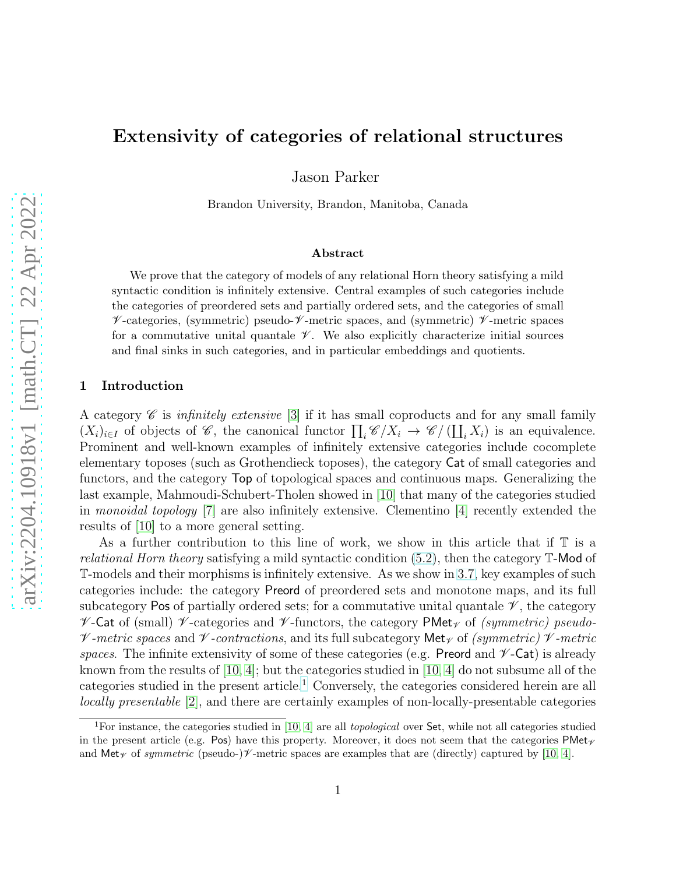# Extensivity of categories of relational structures

Jason Parker

Brandon University, Brandon, Manitoba, Canada

#### Abstract

We prove that the category of models of any relational Horn theory satisfying a mild syntactic condition is infinitely extensive. Central examples of such categories include the categories of preordered sets and partially ordered sets, and the categories of small  $\mathscr V$ -categories, (symmetric) pseudo- $\mathscr V$ -metric spaces, and (symmetric)  $\mathscr V$ -metric spaces for a commutative unital quantale  $\mathscr V$ . We also explicitly characterize initial sources and final sinks in such categories, and in particular embeddings and quotients.

### 1 Introduction

A category  $\mathscr C$  is *infinitely extensive* [\[3\]](#page-13-0) if it has small coproducts and for any small family  $(X_i)_{i\in I}$  of objects of  $\mathscr{C}$ , the canonical functor  $\prod_i \mathscr{C}/X_i \to \mathscr{C}/(\coprod_i X_i)$  is an equivalence. Prominent and well-known examples of infinitely extensive categories include cocomplete elementary toposes (such as Grothendieck toposes), the category Cat of small categories and functors, and the category Top of topological spaces and continuous maps. Generalizing the last example, Mahmoudi-Schubert-Tholen showed in [\[10\]](#page-13-1) that many of the categories studied in monoidal topology [\[7\]](#page-13-2) are also infinitely extensive. Clementino [\[4\]](#page-13-3) recently extended the results of [\[10\]](#page-13-1) to a more general setting.

As a further contribution to this line of work, we show in this article that if T is a relational Horn theory satisfying a mild syntactic condition [\(5.2\)](#page-8-0), then the category T-Mod of T-models and their morphisms is infinitely extensive. As we show in [3.7,](#page-3-0) key examples of such categories include: the category Preord of preordered sets and monotone maps, and its full subcategory Pos of partially ordered sets; for a commutative unital quantale  $\mathscr V$ , the category  $\mathscr V$ -Cat of (small)  $\mathscr V$ -categories and  $\mathscr V$ -functors, the category PMet<sub> $\gamma$ </sub> of *(symmetric) pseudo-* $\nu$ -metric spaces and  $\nu$ -contractions, and its full subcategory Met<sub> $\nu$ </sub> of (symmetric)  $\nu$ -metric spaces. The infinite extensivity of some of these categories (e.g. Preord and  $\nu$ -Cat) is already known from the results of  $[10, 4]$  $[10, 4]$ ; but the categories studied in  $[10, 4]$  $[10, 4]$  do not subsume all of the categories studied in the present article.<sup>[1](#page-0-0)</sup> Conversely, the categories considered herein are all locally presentable [\[2\]](#page-13-4), and there are certainly examples of non-locally-presentable categories

<span id="page-0-0"></span><sup>&</sup>lt;sup>1</sup>For instance, the categories studied in [\[10,](#page-13-1) [4\]](#page-13-3) are all *topological* over Set, while not all categories studied in the present article (e.g. Pos) have this property. Moreover, it does not seem that the categories  $\mathsf{PMet}_{\mathscr{V}}$ and  ${\sf Met}_\mathscr{V}$  of symmetric (pseudo-) $\mathscr{V}$ -metric spaces are examples that are (directly) captured by [\[10,](#page-13-1) [4\]](#page-13-3).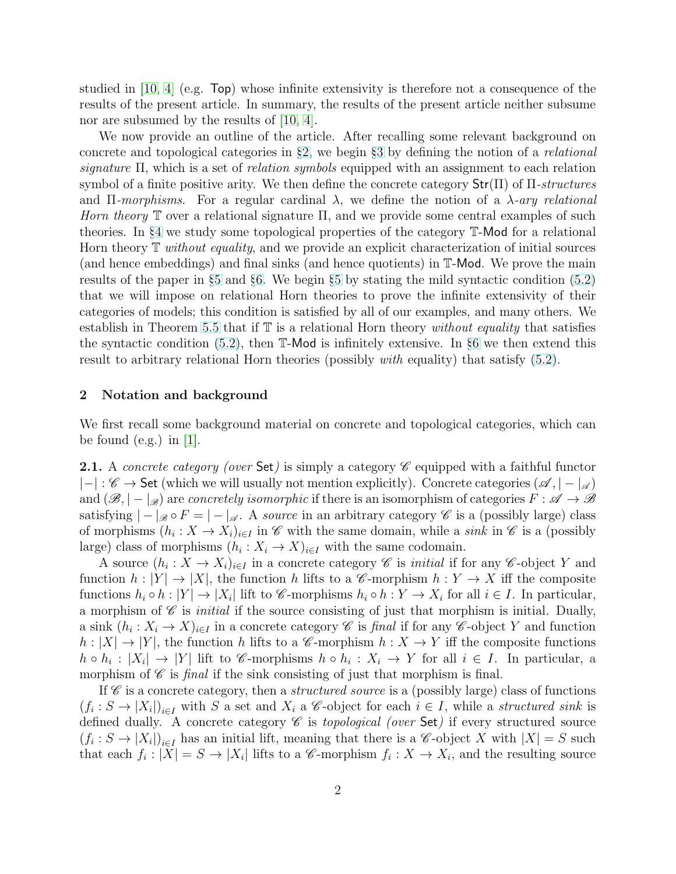studied in [\[10,](#page-13-1) [4\]](#page-13-3) (e.g. Top) whose infinite extensivity is therefore not a consequence of the results of the present article. In summary, the results of the present article neither subsume nor are subsumed by the results of [\[10,](#page-13-1) [4\]](#page-13-3).

We now provide an outline of the article. After recalling some relevant background on concrete and topological categories in §[2,](#page-1-0) we begin §[3](#page-2-0) by defining the notion of a relational signature  $\Pi$ , which is a set of *relation symbols* equipped with an assignment to each relation symbol of a finite positive arity. We then define the concrete category  $\text{Str}(\Pi)$  of  $\Pi$ -structures and Π-morphisms. For a regular cardinal  $\lambda$ , we define the notion of a  $\lambda$ -ary relational Horn theory  $\mathbb T$  over a relational signature  $\Pi$ , and we provide some central examples of such theories. In §[4](#page-5-0) we study some topological properties of the category T-Mod for a relational Horn theory  $\mathbb T$  without equality, and we provide an explicit characterization of initial sources (and hence embeddings) and final sinks (and hence quotients) in T-Mod. We prove the main results of the paper in §[5](#page-7-0) and §[6.](#page-10-0) We begin §[5](#page-7-0) by stating the mild syntactic condition [\(5.2\)](#page-8-0) that we will impose on relational Horn theories to prove the infinite extensivity of their categories of models; this condition is satisfied by all of our examples, and many others. We establish in Theorem [5.5](#page-9-0) that if  $T$  is a relational Horn theory without equality that satisfies the syntactic condition [\(5.2\)](#page-8-0), then T-Mod is infinitely extensive. In §[6](#page-10-0) we then extend this result to arbitrary relational Horn theories (possibly with equality) that satisfy [\(5.2\)](#page-8-0).

#### <span id="page-1-0"></span>2 Notation and background

We first recall some background material on concrete and topological categories, which can be found (e.g.) in  $|1|$ .

<span id="page-1-1"></span>**2.1.** A concrete category (over Set) is simply a category  $\mathscr{C}$  equipped with a faithful functor  $|-|:\mathscr{C}\to \mathsf{Set}$  (which we will usually not mention explicitly). Concrete categories  $(\mathscr{A},|-|_{\mathscr{A}})$ and  $(\mathscr{B}, -|_{\mathscr{B}})$  are concretely isomorphic if there is an isomorphism of categories  $F : \mathscr{A} \to \mathscr{B}$ satisfying  $|-|_{\mathscr{B}} \circ F = |-|_{\mathscr{A}}$ . A source in an arbitrary category  $\mathscr{C}$  is a (possibly large) class of morphisms  $(h_i: X \to X_i)_{i \in I}$  in  $\mathscr C$  with the same domain, while a sink in  $\mathscr C$  is a (possibly large) class of morphisms  $(h_i: X_i \to X)_{i \in I}$  with the same codomain.

A source  $(h_i: X \to X_i)_{i \in I}$  in a concrete category  $\mathscr C$  is *initial* if for any  $\mathscr C$ -object Y and function  $h: |Y| \to |X|$ , the function h lifts to a C-morphism  $h: Y \to X$  iff the composite functions  $h_i \circ h : |Y| \to |X_i|$  lift to C-morphisms  $h_i \circ h : Y \to X_i$  for all  $i \in I$ . In particular, a morphism of  $\mathscr C$  is *initial* if the source consisting of just that morphism is initial. Dually, a sink  $(h_i: X_i \to X)_{i \in I}$  in a concrete category  $\mathscr C$  is final if for any  $\mathscr C$ -object Y and function  $h: |X| \to |Y|$ , the function h lifts to a C-morphism  $h: X \to Y$  iff the composite functions  $h \circ h_i : |X_i| \to |Y|$  lift to C-morphisms  $h \circ h_i : X_i \to Y$  for all  $i \in I$ . In particular, a morphism of  $\mathscr C$  is *final* if the sink consisting of just that morphism is final.

If  $\mathscr C$  is a concrete category, then a *structured source* is a (possibly large) class of functions  $(f_i: S \to |X_i|)_{i \in I}$  with S a set and  $X_i$  a C-object for each  $i \in I$ , while a *structured sink* is defined dually. A concrete category  $\mathscr C$  is topological (over Set) if every structured source  $(f_i: S \to |X_i|)_{i \in I}$  has an initial lift, meaning that there is a *C*-object X with  $|X| = S$  such that each  $f_i: |\overline{X}| = S \to |X_i|$  lifts to a C-morphism  $f_i: X \to X_i$ , and the resulting source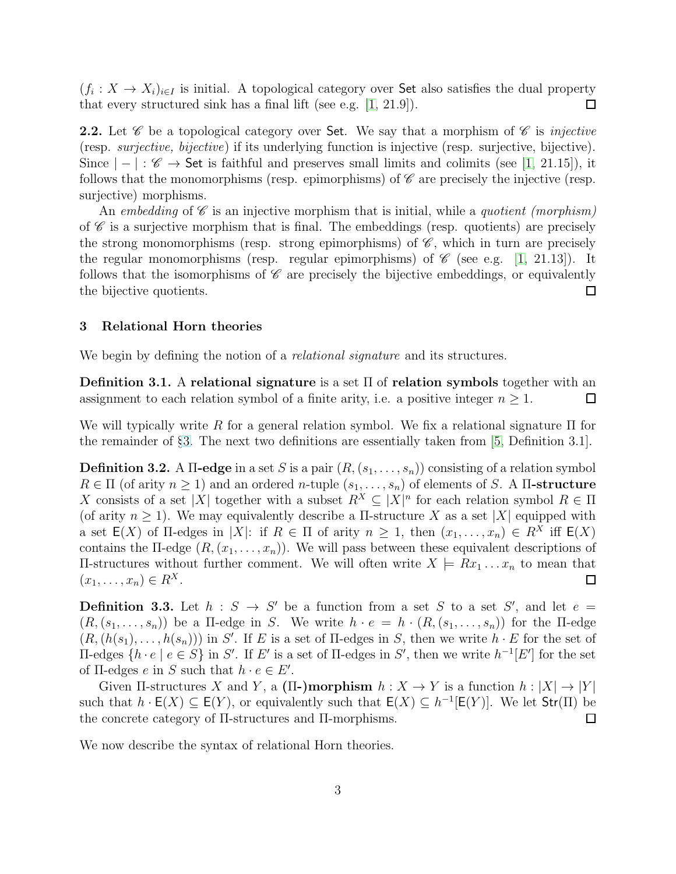$(f_i: X \to X_i)_{i \in I}$  is initial. A topological category over Set also satisfies the dual property that every structured sink has a final lift (see e.g. [\[1,](#page-12-0) 21.9]).  $\Box$ 

<span id="page-2-1"></span>**2.2.** Let  $\mathscr C$  be a topological category over Set. We say that a morphism of  $\mathscr C$  is *injective* (resp. surjective, bijective) if its underlying function is injective (resp. surjective, bijective). Since  $|-|:\mathscr{C}\to \mathsf{Set}$  is faithful and preserves small limits and colimits (see [\[1,](#page-12-0) 21.15]), it follows that the monomorphisms (resp. epimorphisms) of  $\mathscr C$  are precisely the injective (resp. surjective) morphisms.

An embedding of  $\mathscr C$  is an injective morphism that is initial, while a quotient (morphism) of  $\mathscr C$  is a surjective morphism that is final. The embeddings (resp. quotients) are precisely the strong monomorphisms (resp. strong epimorphisms) of  $\mathscr{C}$ , which in turn are precisely the regular monomorphisms (resp. regular epimorphisms) of  $\mathscr{C}$  (see e.g. [\[1,](#page-12-0) 21.13]). It follows that the isomorphisms of  $\mathscr C$  are precisely the bijective embeddings, or equivalently the bijective quotients.  $\Box$ 

#### <span id="page-2-0"></span>3 Relational Horn theories

We begin by defining the notion of a *relational signature* and its structures.

Definition 3.1. A relational signature is a set  $\Pi$  of relation symbols together with an assignment to each relation symbol of a finite arity, i.e. a positive integer  $n \geq 1$ .  $\Box$ 

We will typically write R for a general relation symbol. We fix a relational signature  $\Pi$  for the remainder of §[3.](#page-2-0) The next two definitions are essentially taken from [\[5,](#page-13-5) Definition 3.1].

**Definition 3.2.** A II-edge in a set S is a pair  $(R, (s_1, \ldots, s_n))$  consisting of a relation symbol  $R \in \Pi$  (of arity  $n \geq 1$ ) and an ordered *n*-tuple  $(s_1, \ldots, s_n)$  of elements of S. A II-structure X consists of a set |X| together with a subset  $R^X \subseteq |X|^n$  for each relation symbol  $R \in \Pi$ (of arity  $n \geq 1$ ). We may equivalently describe a  $\Pi$ -structure X as a set |X| equipped with a set  $E(X)$  of  $\Pi$ -edges in |X|: if  $R \in \Pi$  of arity  $n \geq 1$ , then  $(x_1, \ldots, x_n) \in R^X$  iff  $E(X)$ contains the  $\Pi$ -edge  $(R, (x_1, \ldots, x_n))$ . We will pass between these equivalent descriptions of Π-structures without further comment. We will often write  $X \models Rx_1 \dots x_n$  to mean that  $(x_1, \ldots, x_n) \in R^X$ .  $\Box$ 

**Definition 3.3.** Let  $h : S \rightarrow S'$  be a function from a set S to a set S', and let  $e =$  $(R,(s_1,\ldots,s_n))$  be a  $\Pi$ -edge in S. We write  $h\cdot e=h\cdot (R,(s_1,\ldots,s_n))$  for the  $\Pi$ -edge  $(R, (h(s_1), \ldots, h(s_n)))$  in S'. If E is a set of II-edges in S, then we write  $h \cdot E$  for the set of  $\Pi$ -edges { $h \cdot e \mid e \in S$ } in S'. If E' is a set of  $\Pi$ -edges in S', then we write  $h^{-1}[E']$  for the set of  $\Pi$ -edges  $e$  in  $S$  such that  $h \cdot e \in E'$ .

Given II-structures X and Y, a  $(\Pi$ -)morphism  $h: X \to Y$  is a function  $h: |X| \to |Y|$ such that  $h \cdot \mathsf{E}(X) \subseteq \mathsf{E}(Y)$ , or equivalently such that  $\mathsf{E}(X) \subseteq h^{-1}[\mathsf{E}(Y)]$ . We let  $\mathsf{Str}(\Pi)$  be the concrete category of Π-structures and Π-morphisms.  $\Box$ 

We now describe the syntax of relational Horn theories.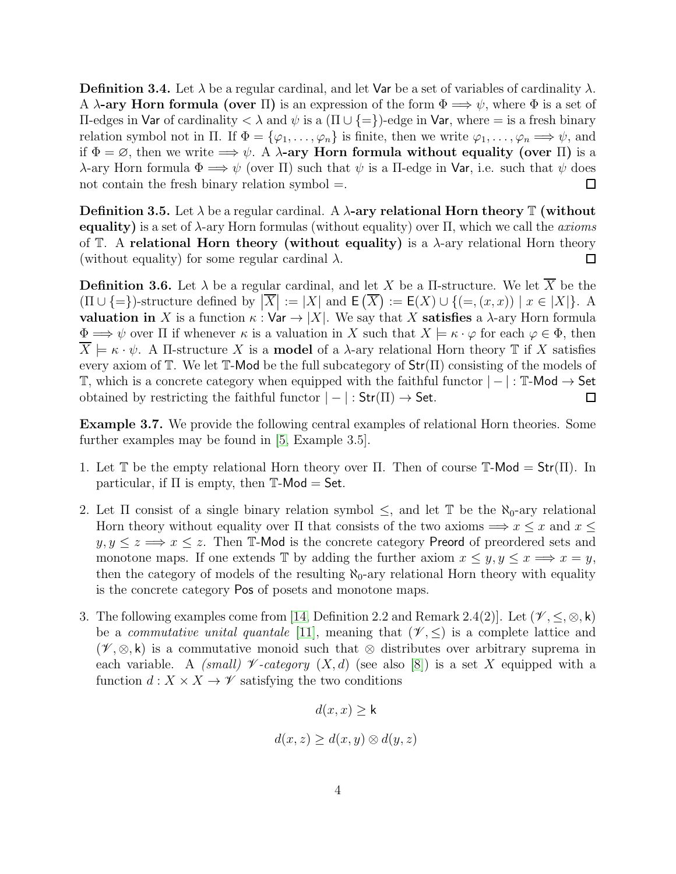**Definition 3.4.** Let  $\lambda$  be a regular cardinal, and let Var be a set of variables of cardinality  $\lambda$ . A  $\lambda$ -ary Horn formula (over  $\Pi$ ) is an expression of the form  $\Phi \Longrightarrow \psi$ , where  $\Phi$  is a set of Π-edges in Var of cardinality < λ and ψ is a (Π ∪ {=})-edge in Var, where = is a fresh binary relation symbol not in  $\Pi$ . If  $\Phi = {\varphi_1, \ldots, \varphi_n}$  is finite, then we write  $\varphi_1, \ldots, \varphi_n \Longrightarrow \psi$ , and if  $\Phi = \emptyset$ , then we write  $\Longrightarrow \psi$ . A  $\lambda$ -ary Horn formula without equality (over II) is a λ-ary Horn formula  $\Phi \Longrightarrow \psi$  (over Π) such that  $\psi$  is a Π-edge in Var, i.e. such that  $\psi$  does not contain the fresh binary relation symbol  $=$ .  $\Box$ 

Definition 3.5. Let  $\lambda$  be a regular cardinal. A  $\lambda$ -ary relational Horn theory T (without equality) is a set of  $\lambda$ -ary Horn formulas (without equality) over  $\Pi$ , which we call the *axioms* of  $\mathbb{T}$ . A relational Horn theory (without equality) is a  $\lambda$ -ary relational Horn theory (without equality) for some regular cardinal  $\lambda$ .  $\Box$ 

**Definition 3.6.** Let  $\lambda$  be a regular cardinal, and let X be a II-structure. We let  $\overline{X}$  be the  $(\Pi \cup \{\equiv\})$ -structure defined by  $|\overline{X}| := |X|$  and  $\mathsf{E}(\overline{X}) := \mathsf{E}(X) \cup \{(\equiv,(x,x)) \mid x \in |X|\}$ . A valuation in X is a function  $\kappa : \mathsf{Var} \to |X|$ . We say that X satisfies a  $\lambda$ -ary Horn formula  $\Phi \Longrightarrow \psi$  over  $\Pi$  if whenever  $\kappa$  is a valuation in X such that  $X \models \kappa \cdot \varphi$  for each  $\varphi \in \Phi$ , then  $X \models \kappa \cdot \psi$ . A II-structure X is a **model** of a  $\lambda$ -ary relational Horn theory T if X satisfies every axiom of  $\mathbb T$ . We let  $\mathbb T$ -Mod be the full subcategory of  $\text{Str}(\Pi)$  consisting of the models of T, which is a concrete category when equipped with the faithful functor  $|-|$ : T-Mod → Set obtained by restricting the faithful functor  $|-|: Str(\Pi) \rightarrow Set$ .  $\Box$ 

<span id="page-3-0"></span>Example 3.7. We provide the following central examples of relational Horn theories. Some further examples may be found in [\[5,](#page-13-5) Example 3.5].

- 1. Let T be the empty relational Horn theory over  $\Pi$ . Then of course T-Mod =  $Str(\Pi)$ . In particular, if  $\Pi$  is empty, then  $\mathbb{T}\text{-}\mathsf{Mod} = \mathsf{Set}.$
- 2. Let  $\Pi$  consist of a single binary relation symbol  $\leq$ , and let  $\mathbb T$  be the  $\aleph_0$ -ary relational Horn theory without equality over  $\Pi$  that consists of the two axioms  $\implies x \leq x$  and  $x \leq$  $y, y \leq z \Longrightarrow x \leq z$ . Then T-Mod is the concrete category Preord of preordered sets and monotone maps. If one extends  $\mathbb T$  by adding the further axiom  $x \leq y, y \leq x \Longrightarrow x = y$ , then the category of models of the resulting  $\aleph_0$ -ary relational Horn theory with equality is the concrete category Pos of posets and monotone maps.
- 3. The following examples come from [\[14,](#page-13-6) Definition 2.2 and Remark 2.4(2)]. Let  $(\mathscr{V}, \leq, \otimes, \mathsf{k})$ be a *commutative unital quantale* [\[11\]](#page-13-7), meaning that  $(\mathscr{V}, \leq)$  is a complete lattice and  $(\mathscr{V}, \otimes, \mathsf{k})$  is a commutative monoid such that  $\otimes$  distributes over arbitrary suprema in each variable. A (small) V -category (X, d) (see also [\[8\]](#page-13-8)) is a set X equipped with a function  $d: X \times X \to \mathscr{V}$  satisfying the two conditions

$$
d(x, x) \ge \mathsf{k}
$$

$$
d(x, z) \ge d(x, y) \otimes d(y, z)
$$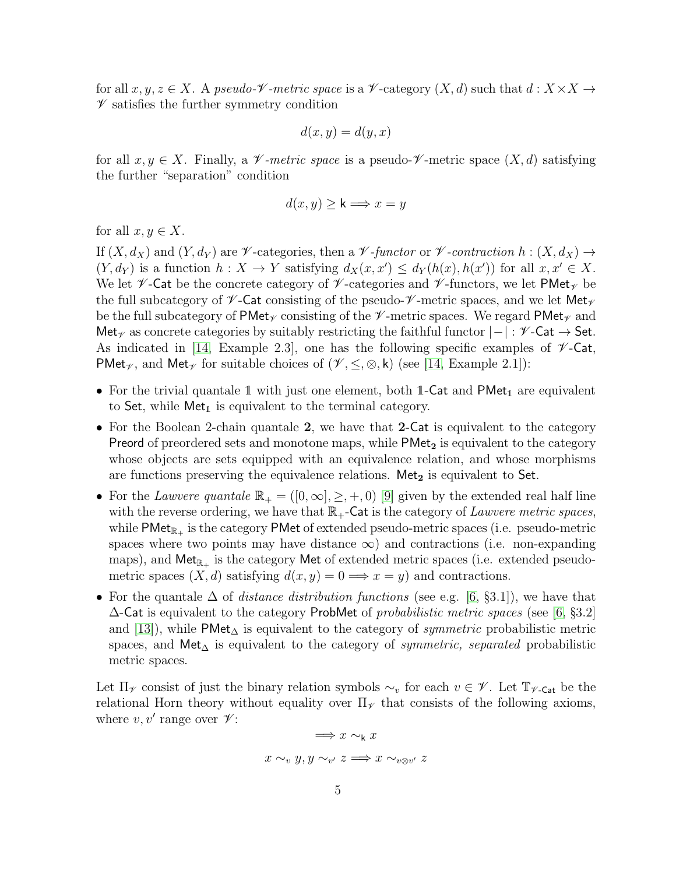for all  $x, y, z \in X$ . A pseudo- $\mathscr V$ -metric space is a  $\mathscr V$ -category  $(X, d)$  such that  $d: X \times X \to$  $\mathscr V$  satisfies the further symmetry condition

$$
d(x, y) = d(y, x)
$$

for all  $x, y \in X$ . Finally, a V-metric space is a pseudo-V-metric space  $(X, d)$  satisfying the further "separation" condition

$$
d(x, y) \ge \mathsf{k} \Longrightarrow x = y
$$

for all  $x, y \in X$ .

If  $(X, d_X)$  and  $(Y, d_Y)$  are  $\not\!\mathscr{V}$ -categories, then a  $\not\!\mathscr{V}$ -functor or  $\not\!\mathscr{V}$ -contraction  $h : (X, d_X) \to$  $(Y, d_Y)$  is a function  $h: X \to Y$  satisfying  $d_X(x, x') \leq d_Y(h(x), h(x'))$  for all  $x, x' \in X$ . We let  $\not\!\!\mathscr{V}$ -Cat be the concrete category of  $\not\!\!\mathscr{V}$ -categories and  $\not\!\!\mathscr{V}$ -functors, we let PMet $\nu$  be the full subcategory of  $\mathscr V$ -Cat consisting of the pseudo- $\mathscr V$ -metric spaces, and we let Met<sub> $\mathscr V$ </sub> be the full subcategory of PMet<sub>V</sub> consisting of the  $\mathcal V$ -metric spaces. We regard PMet<sub>V</sub> and Met<sub> $\gamma$ </sub> as concrete categories by suitably restricting the faithful functor  $|-|$ :  $\mathscr{V}$ -Cat  $\rightarrow$  Set. As indicated in [\[14,](#page-13-6) Example 2.3], one has the following specific examples of  $\mathscr{V}\text{-}\mathsf{Cat}$ , PMet<sub> $\gamma$ </sub>, and Met<sub> $\gamma$ </sub> for suitable choices of ( $\mathcal{V}, \leq, \otimes, \mathsf{k}$ ) (see [\[14,](#page-13-6) Example 2.1]):

- For the trivial quantale 1 with just one element, both 1-Cat and  $\mathsf{PMet}_{1}$  are equivalent to Set, while  $Met_1$  is equivalent to the terminal category.
- For the Boolean 2-chain quantale 2, we have that 2-Cat is equivalent to the category Preord of preordered sets and monotone maps, while  $PMet<sub>2</sub>$  is equivalent to the category whose objects are sets equipped with an equivalence relation, and whose morphisms are functions preserving the equivalence relations. Met<sub>2</sub> is equivalent to Set.
- For the Lawvere quantale  $\mathbb{R}_+ = ([0,\infty], \geq, +, 0)$  [\[9\]](#page-13-9) given by the extended real half line with the reverse ordering, we have that  $\mathbb{R}_+$ -Cat is the category of Lawvere metric spaces, while  $\mathsf{PMet}_{\mathbb R_+}$  is the category  $\mathsf{PMet}$  of extended pseudo-metric spaces (i.e. pseudo-metric spaces where two points may have distance  $\infty$ ) and contractions (i.e. non-expanding maps), and  ${\sf Met}_{\mathbb{R}_+}$  is the category  ${\sf Met}$  of extended metric spaces (i.e. extended pseudometric spaces  $(X, d)$  satisfying  $d(x, y) = 0 \Longrightarrow x = y$  and contractions.
- For the quantale  $\Delta$  of *distance distribution functions* (see e.g. [\[6,](#page-13-10) §3.1]), we have that  $\Delta$ -Cat is equivalent to the category ProbMet of probabilistic metric spaces (see [\[6,](#page-13-10) §3.2] and [\[13\]](#page-13-11)), while PMet<sub> $\Delta$ </sub> is equivalent to the category of *symmetric* probabilistic metric spaces, and Met<sub> $\Delta$ </sub> is equivalent to the category of *symmetric, separated* probabilistic metric spaces.

Let  $\Pi_{\mathscr{V}}$  consist of just the binary relation symbols  $\sim_v$  for each  $v \in \mathscr{V}$ . Let  $\mathbb{T}_{\mathscr{V}}$ -Cat be the relational Horn theory without equality over  $\Pi_{\mathscr{V}}$  that consists of the following axioms, where  $v, v'$  range over  $\mathscr V$ :

$$
\implies x \sim_{\mathsf{k}} x
$$

$$
x \sim_v y, y \sim_{v'} z \implies x \sim_{v \otimes v'} z
$$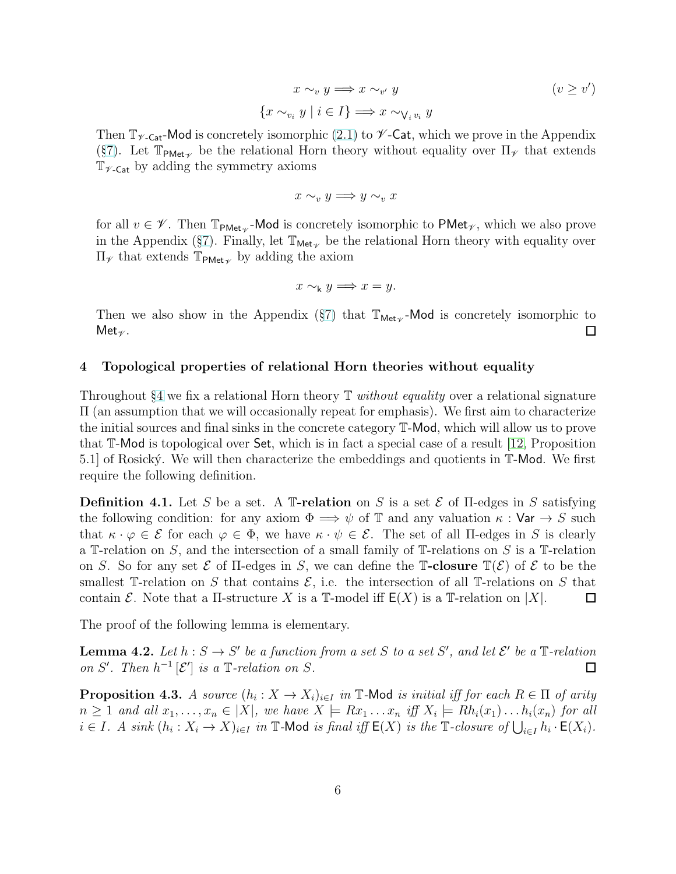$$
x \sim_v y \Longrightarrow x \sim_{v'} y
$$
  

$$
x \sim_{v_i} y \mid i \in I \} \Longrightarrow x \sim_{\bigvee_i v_i} y
$$
  

$$
(v \ge v')
$$

Then  $\mathbb{T}_{\gamma_{\text{Cat}}}$ -Mod is concretely isomorphic [\(2.1\)](#page-1-1) to  $\gamma_{\text{Cat}}$ , which we prove in the Appendix (§[7\)](#page-11-0). Let  $\mathbb{T}_{\text{PMet}_{\mathscr{V}}}$  be the relational Horn theory without equality over  $\Pi_{\mathscr{V}}$  that extends  $\mathbb{T}_{\mathscr{V}\text{-}\mathsf{Cat}}$  by adding the symmetry axioms

{x ∼<sup>v</sup><sup>i</sup>

$$
x \sim_v y \Longrightarrow y \sim_v x
$$

for all  $v \in \mathscr{V}$ . Then  $\mathbb{T}_{\text{PMet}_{\mathscr{V}}}$ -Mod is concretely isomorphic to PMet<sub> $\mathscr{V}$ </sub>, which we also prove in the Appendix (§[7\)](#page-11-0). Finally, let  $\mathbb{T}_{\mathsf{Met}_{\mathscr{V}}}$  be the relational Horn theory with equality over  $\Pi$ <sub>γ</sub> that extends  $\mathbb{T}_{\text{PMet}_{\mathscr{V}}}$  by adding the axiom

$$
x \sim_{\mathsf{k}} y \Longrightarrow x = y.
$$

Then we also show in the Appendix (§[7\)](#page-11-0) that  $\mathbb{T}_{\text{Met}_{\mathscr{V}}}$ -Mod is concretely isomorphic to  $Met_{\mathscr{V}}$ .  $\Box$ 

# <span id="page-5-0"></span>4 Topological properties of relational Horn theories without equality

Throughout §[4](#page-5-0) we fix a relational Horn theory  $\mathbb T$  without equality over a relational signature Π (an assumption that we will occasionally repeat for emphasis). We first aim to characterize the initial sources and final sinks in the concrete category T-Mod, which will allow us to prove that T-Mod is topological over Set, which is in fact a special case of a result [\[12,](#page-13-12) Proposition 5.1] of Rosický. We will then characterize the embeddings and quotients in  $\mathbb{T}$ -Mod. We first require the following definition.

**Definition 4.1.** Let S be a set. A T-relation on S is a set  $\mathcal{E}$  of II-edges in S satisfying the following condition: for any axiom  $\Phi \Longrightarrow \psi$  of T and any valuation  $\kappa : \mathsf{Var} \to S$  such that  $\kappa \cdot \varphi \in \mathcal{E}$  for each  $\varphi \in \Phi$ , we have  $\kappa \cdot \psi \in \mathcal{E}$ . The set of all II-edges in S is clearly a T-relation on S, and the intersection of a small family of T-relations on S is a T-relation on S. So for any set  $\mathcal E$  of  $\Pi$ -edges in S, we can define the  $\mathbb T$ **-closure**  $\mathbb T(\mathcal E)$  of  $\mathcal E$  to be the smallest T-relation on S that contains  $\mathcal{E}$ , i.e. the intersection of all T-relations on S that contain E. Note that a  $\Pi$ -structure X is a  $\mathbb{T}$ -model iff  $E(X)$  is a  $\mathbb{T}$ -relation on  $|X|$ . 口

The proof of the following lemma is elementary.

<span id="page-5-1"></span>**Lemma 4.2.** Let  $h : S \to S'$  be a function from a set S to a set S', and let  $\mathcal{E}'$  be a  $\mathbb{T}$ -relation on S'. Then  $h^{-1}[\mathcal{E}']$  is a  $\mathbb{T}\text{-relation on }S$ .  $\Box$ 

<span id="page-5-2"></span>**Proposition 4.3.** A source  $(h_i: X \to X_i)_{i \in I}$  in  $\mathbb{T}$ -Mod is initial iff for each  $R \in \Pi$  of arity  $n \geq 1$  and all  $x_1, \ldots, x_n \in |X|$ , we have  $X \models Rx_1 \ldots x_n$  iff  $X_i \models Rh_i(x_1) \ldots h_i(x_n)$  for all  $i \in I$ . A sink  $(h_i: X_i \to X)_{i \in I}$  in  $\mathbb{T}$ -Mod is final iff  $\mathsf{E}(X)$  is the  $\mathbb{T}$ -closure of  $\bigcup_{i \in I} h_i \cdot \mathsf{E}(X_i)$ .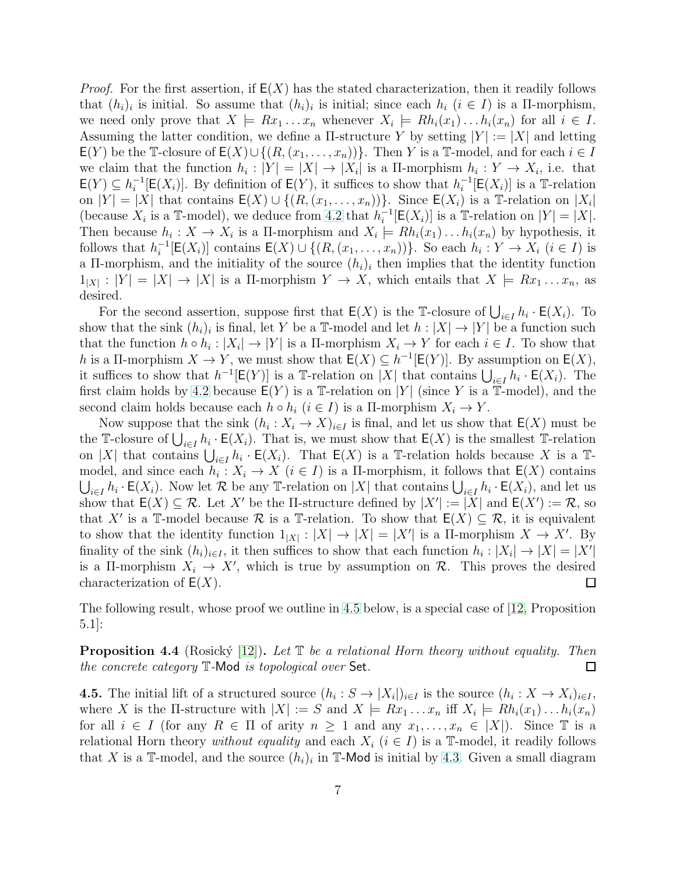*Proof.* For the first assertion, if  $E(X)$  has the stated characterization, then it readily follows that  $(h_i)_i$  is initial. So assume that  $(h_i)_i$  is initial; since each  $h_i$   $(i \in I)$  is a  $\Pi$ -morphism, we need only prove that  $X \models Rx_1 \dots x_n$  whenever  $X_i \models Rh_i(x_1) \dots h_i(x_n)$  for all  $i \in I$ . Assuming the latter condition, we define a  $\Pi$ -structure Y by setting  $|Y| := |X|$  and letting  $E(Y)$  be the T-closure of  $E(X) \cup \{(R,(x_1,\ldots,x_n))\}$ . Then Y is a T-model, and for each  $i \in I$ we claim that the function  $h_i: |Y| = |X| \to |X_i|$  is a  $\Pi$ -morphism  $h_i: Y \to X_i$ , i.e. that  $\mathsf{E}(Y) \subseteq h_i^{-1}[\mathsf{E}(X_i)]$ . By definition of  $\mathsf{E}(Y)$ , it suffices to show that  $h_i^{-1}[\mathsf{E}(X_i)]$  is a T-relation on  $|Y| = |X|$  that contains  $E(X) \cup \{(R, (x_1, \ldots, x_n))\}\)$ . Since  $E(X_i)$  is a T-relation on  $|X_i|$ (because  $X_i$  is a T-model), we deduce from [4.2](#page-5-1) that  $h_i^{-1}[\mathsf{E}(X_i)]$  is a T-relation on  $|Y| = |X|$ . Then because  $h_i: X \to X_i$  is a  $\Pi$ -morphism and  $X_i \models Rh_i(x_1) \dots h_i(x_n)$  by hypothesis, it follows that  $h_i^{-1}[\mathsf{E}(X_i)]$  contains  $\mathsf{E}(X) \cup \{(R,(x_1,\ldots,x_n))\}$ . So each  $h_i: Y \to X_i$   $(i \in I)$  is a II-morphism, and the initiality of the source  $(h_i)_i$  then implies that the identity function  $1_{|X|}: |Y| = |X| \to |X|$  is a  $\Pi$ -morphism  $Y \to X$ , which entails that  $X \models Rx_1 \dots x_n$ , as desired.

For the second assertion, suppose first that  $E(X)$  is the T-closure of  $\bigcup_{i\in I} h_i \cdot E(X_i)$ . To show that the sink  $(h_i)_i$  is final, let Y be a T-model and let  $h: |X| \to |Y|$  be a function such that the function  $h \circ h_i : |X_i| \to |Y|$  is a  $\Pi$ -morphism  $X_i \to Y$  for each  $i \in I$ . To show that h is a Π-morphism  $X \to Y$ , we must show that  $E(X) \subseteq h^{-1}[E(Y)]$ . By assumption on  $E(X)$ , it suffices to show that  $h^{-1}[\mathsf{E}(Y)]$  is a T-relation on |X| that contains  $\bigcup_{i\in I} h_i \cdot \mathsf{E}(X_i)$ . The first claim holds by [4.2](#page-5-1) because  $E(Y)$  is a T-relation on |Y| (since Y is a T-model), and the second claim holds because each  $h \circ h_i$   $(i \in I)$  is a  $\Pi$ -morphism  $X_i \to Y$ .

Now suppose that the sink  $(h_i: X_i \to X)_{i \in I}$  is final, and let us show that  $\mathsf{E}(X)$  must be the T-closure of  $\bigcup_{i\in I} h_i \cdot \mathsf{E}(X_i)$ . That is, we must show that  $\mathsf{E}(X)$  is the smallest T-relation on |X| that contains  $\bigcup_{i\in I} h_i \cdot \mathsf{E}(X_i)$ . That  $\mathsf{E}(X)$  is a T-relation holds because X is a Tmodel, and since each  $h_i: X_i \to X$   $(i \in I)$  is a  $\Pi$ -morphism, it follows that  $\mathsf{E}(X)$  contains  $\bigcup_{i\in I} h_i \cdot \mathsf{E}(X_i)$ . Now let R be any T-relation on |X| that contains  $\bigcup_{i\in I} h_i \cdot \mathsf{E}(X_i)$ , and let us show that  $\mathsf{E}(X) \subseteq \mathcal{R}$ . Let X' be the II-structure defined by  $|X'| := |X|$  and  $\mathsf{E}(X') := \mathcal{R}$ , so that X' is a T-model because R is a T-relation. To show that  $E(X) \subseteq \mathcal{R}$ , it is equivalent to show that the identity function  $1_{|X|}: |X| \to |X| = |X'|$  is a II-morphism  $X \to X'$ . By finality of the sink  $(h_i)_{i \in I}$ , it then suffices to show that each function  $h_i : |X_i| \to |X| = |X'|$ is a II-morphism  $X_i \to X'$ , which is true by assumption on  $\mathcal{R}$ . This proves the desired characterization of  $E(X)$ .  $\Box$ 

The following result, whose proof we outline in [4.5](#page-6-0) below, is a special case of [\[12,](#page-13-12) Proposition 5.1]:

<span id="page-6-1"></span>**Proposition 4.4** (Rosický [\[12\]](#page-13-12)). Let  $\mathbb T$  be a relational Horn theory without equality. Then the concrete category T-Mod is topological over Set.  $\Box$ 

<span id="page-6-0"></span>**4.5.** The initial lift of a structured source  $(h_i: S \to |X_i|)_{i \in I}$  is the source  $(h_i: X \to X_i)_{i \in I}$ , where X is the II-structure with  $|X| := S$  and  $X \models Rx_1 \dots x_n$  iff  $X_i \models Rh_i(x_1) \dots h_i(x_n)$ for all  $i \in I$  (for any  $R \in \Pi$  of arity  $n \geq 1$  and any  $x_1, \ldots, x_n \in |X|$ ). Since  $\mathbb T$  is a relational Horn theory without equality and each  $X_i$   $(i \in I)$  is a T-model, it readily follows that X is a T-model, and the source  $(h_i)_i$  in T-Mod is initial by [4.3.](#page-5-2) Given a small diagram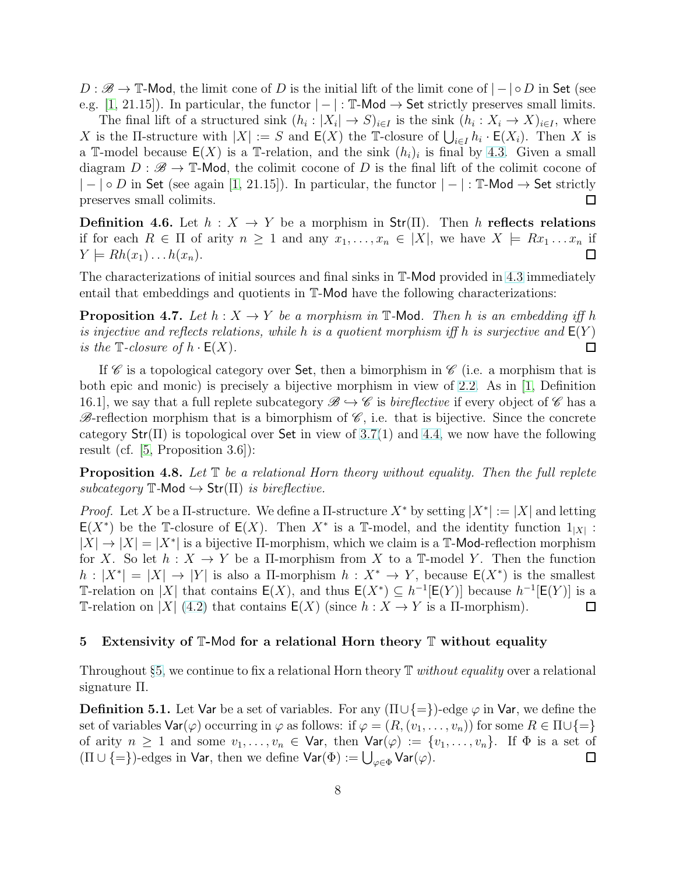$D : \mathscr{B} \to \mathbb{T}$ -Mod, the limit cone of D is the initial lift of the limit cone of  $| - | \circ D$  in Set (see e.g. [\[1,](#page-12-0) 21.15]). In particular, the functor  $|-|: \mathbb{T}$ -Mod  $\rightarrow$  Set strictly preserves small limits.

The final lift of a structured sink  $(h_i : |X_i| \to S)_{i \in I}$  is the sink  $(h_i : X_i \to X)_{i \in I}$ , where X is the II-structure with  $|X| := S$  and  $\mathsf{E}(X)$  the T-closure of  $\bigcup_{i \in I} h_i \cdot \mathsf{E}(X_i)$ . Then X is a T-model because  $E(X)$  is a T-relation, and the sink  $(h_i)_i$  is final by [4.3.](#page-5-2) Given a small diagram  $D : \mathscr{B} \to \mathbb{T}$ -Mod, the colimit cocone of D is the final lift of the colimit cocone of  $| - | \circ D$  in Set (see again [\[1,](#page-12-0) 21.15]). In particular, the functor  $|- | : \mathbb{T}$ -Mod  $\rightarrow$  Set strictly preserves small colimits. □

**Definition 4.6.** Let  $h: X \to Y$  be a morphism in Str( $\Pi$ ). Then h reflects relations if for each  $R \in \Pi$  of arity  $n \geq 1$  and any  $x_1, \ldots, x_n \in |X|$ , we have  $X \models Rx_1 \ldots x_n$  if  $\Box$  $Y \models Rh(x_1) \dots h(x_n).$ 

The characterizations of initial sources and final sinks in T-Mod provided in [4.3](#page-5-2) immediately entail that embeddings and quotients in T-Mod have the following characterizations:

<span id="page-7-1"></span>**Proposition 4.7.** Let  $h: X \to Y$  be a morphism in T-Mod. Then h is an embedding iff h is injective and reflects relations, while h is a quotient morphism if fh is surjective and  $E(Y)$ is the  $\mathbb{T}\text{-}closure of h \cdot \mathsf{E}(X)$ . □

If  $\mathscr C$  is a topological category over Set, then a bimorphism in  $\mathscr C$  (i.e. a morphism that is both epic and monic) is precisely a bijective morphism in view of [2.2.](#page-2-1) As in [\[1,](#page-12-0) Definition 16.1, we say that a full replete subcategory  $\mathscr{B} \hookrightarrow \mathscr{C}$  is *bireflective* if every object of  $\mathscr{C}$  has a  $\mathscr{B}$ -reflection morphism that is a bimorphism of  $\mathscr{C}$ , i.e. that is bijective. Since the concrete category  $Str(\Pi)$  is topological over Set in view of [3.7\(](#page-3-0)1) and [4.4,](#page-6-1) we now have the following result (cf. [\[5,](#page-13-5) Proposition 3.6]):

<span id="page-7-2"></span>**Proposition 4.8.** Let  $\mathbb T$  be a relational Horn theory without equality. Then the full replete subcategory  $\mathbb{T}$ -Mod  $\hookrightarrow$  Str( $\Pi$ ) is bireflective.

*Proof.* Let X be a  $\Pi$ -structure. We define a  $\Pi$ -structure  $X^*$  by setting  $|X^*| := |X|$  and letting E(X<sup>\*</sup>) be the T-closure of E(X). Then  $X^*$  is a T-model, and the identity function 1<sub>|X|</sub>:  $|X| \to |X| = |X^*|$  is a bijective  $\Pi$ -morphism, which we claim is a  $\mathbb{T}$ -Mod-reflection morphism for X. So let  $h: X \to Y$  be a II-morphism from X to a T-model Y. Then the function  $h: |X^*| = |X| \to |Y|$  is also a  $\Pi$ -morphism  $h: X^* \to Y$ , because  $E(X^*)$  is the smallest T-relation on |X| that contains  $E(X)$ , and thus  $E(X^*) \subseteq h^{-1}[E(Y)]$  because  $h^{-1}[E(Y)]$  is a T-relation on |X| [\(4.2\)](#page-5-1) that contains  $E(X)$  (since  $h: X \to Y$  is a  $\Pi$ -morphism).  $\Box$ 

### <span id="page-7-0"></span>5 Extensivity of T-Mod for a relational Horn theory T without equality

Throughout §[5,](#page-7-0) we continue to fix a relational Horn theory  $\mathbb T$  without equality over a relational signature Π.

**Definition 5.1.** Let Var be a set of variables. For any  $(\Pi \cup \{\equiv\})$ -edge  $\varphi$  in Var, we define the set of variables  $\text{Var}(\varphi)$  occurring in  $\varphi$  as follows: if  $\varphi = (R,(v_1,\ldots,v_n))$  for some  $R \in \Pi \cup \{\equiv\}$ of arity  $n \geq 1$  and some  $v_1, \ldots, v_n \in \mathsf{Var}$ , then  $\mathsf{Var}(\varphi) := \{v_1, \ldots, v_n\}$ . If  $\Phi$  is a set of  $(\Pi \cup \{=\})$ -edges in  $\sf{Var},$  then we define  $\sf{Var}(\Phi) := \bigcup_{\varphi \in \Phi} \sf{Var}(\varphi).$  $\Box$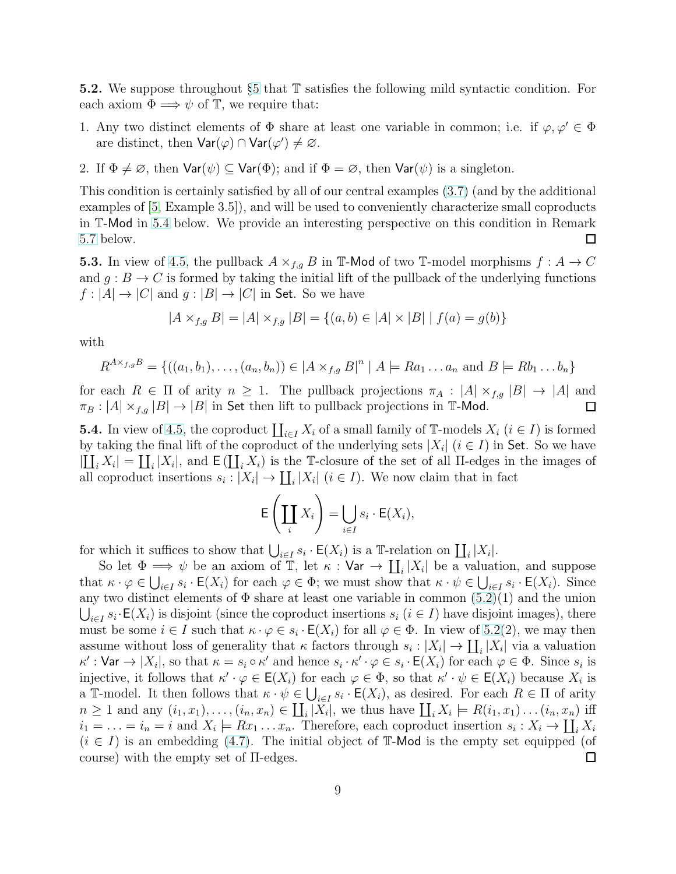<span id="page-8-0"></span>5.2. We suppose throughout §[5](#page-7-0) that T satisfies the following mild syntactic condition. For each axiom  $\Phi \Longrightarrow \psi$  of  $\mathbb{T}$ , we require that:

- 1. Any two distinct elements of  $\Phi$  share at least one variable in common; i.e. if  $\varphi, \varphi' \in \Phi$ are distinct, then  $\text{Var}(\varphi) \cap \text{Var}(\varphi') \neq \varnothing$ .
- 2. If  $\Phi \neq \emptyset$ , then  $\text{Var}(\psi) \subseteq \text{Var}(\Phi)$ ; and if  $\Phi = \emptyset$ , then  $\text{Var}(\psi)$  is a singleton.

This condition is certainly satisfied by all of our central examples [\(3.7\)](#page-3-0) (and by the additional examples of [\[5,](#page-13-5) Example 3.5]), and will be used to conveniently characterize small coproducts in T-Mod in [5.4](#page-8-1) below. We provide an interesting perspective on this condition in Remark [5.7](#page-10-1) below.  $\Box$ 

<span id="page-8-2"></span>**5.3.** In view of [4.5,](#page-6-0) the pullback  $A \times_{f,q} B$  in  $\mathbb{T}$ -Mod of two  $\mathbb{T}$ -model morphisms  $f : A \to C$ and  $g : B \to C$  is formed by taking the initial lift of the pullback of the underlying functions  $f: |A| \to |C|$  and  $g: |B| \to |C|$  in Set. So we have

$$
|A \times_{f,g} B| = |A| \times_{f,g} |B| = \{(a, b) \in |A| \times |B| \mid f(a) = g(b)\}
$$

with

$$
R^{A \times_{f,g} B} = \{ ((a_1, b_1), \ldots, (a_n, b_n)) \in |A \times_{f,g} B|^n \mid A \models Ra_1 \ldots a_n \text{ and } B \models Rb_1 \ldots b_n \}
$$

for each  $R \in \Pi$  of arity  $n \geq 1$ . The pullback projections  $\pi_A : |A| \times_{f,g} |B| \to |A|$  and  $\pi_B : |A| \times_{f,g} |B| \to |B|$  in Set then lift to pullback projections in T-Mod.  $\Box$ 

<span id="page-8-1"></span>**5.4.** In view of [4.5,](#page-6-0) the coproduct  $\prod_{i\in I} X_i$  of a small family of T-models  $X_i$   $(i \in I)$  is formed by taking the final lift of the coproduct of the underlying sets  $|X_i|$   $(i \in I)$  in Set. So we have  $|\coprod_i X_i| = \coprod_i |X_i|$ , and  $\mathsf{E}(\coprod_i X_i)$  is the T-closure of the set of all  $\Pi$ -edges in the images of all coproduct insertions  $s_i : |X_i| \to \coprod_i |X_i|$   $(i \in I)$ . We now claim that in fact

$$
\mathsf{E}\left(\coprod_i X_i\right) = \bigcup_{i \in I} s_i \cdot \mathsf{E}(X_i),
$$

for which it suffices to show that  $\bigcup_{i\in I} s_i \cdot \mathsf{E}(X_i)$  is a T-relation on  $\coprod_i |X_i|$ .

So let  $\Phi \implies \psi$  be an axiom of  $\mathbb{T}$ , let  $\kappa : \mathsf{Var} \to \coprod_i |X_i|$  be a valuation, and suppose that  $\kappa \cdot \varphi \in \bigcup_{i \in I} s_i \cdot \mathsf{E}(X_i)$  for each  $\varphi \in \Phi$ ; we must show that  $\kappa \cdot \psi \in \bigcup_{i \in I} s_i \cdot \mathsf{E}(X_i)$ . Since any two distinct elements of  $\Phi$  share at least one variable in common  $(5.2)(1)$  and the union  $\bigcup_{i\in I} s_i \cdot \mathsf{E}(X_i)$  is disjoint (since the coproduct insertions  $s_i$   $(i \in I)$  have disjoint images), there must be some  $i \in I$  such that  $\kappa \cdot \varphi \in s_i \cdot \mathsf{E}(X_i)$  for all  $\varphi \in \Phi$ . In view of [5.2\(](#page-8-0)2), we may then assume without loss of generality that  $\kappa$  factors through  $s_i : |X_i| \to \coprod_i |X_i|$  via a valuation  $\kappa': \textsf{Var} \to |X_i|$ , so that  $\kappa = s_i \circ \kappa'$  and hence  $s_i \cdot \kappa' \cdot \varphi \in s_i \cdot \mathsf{E}(X_i)$  for each  $\varphi \in \Phi$ . Since  $s_i$  is injective, it follows that  $\kappa' \cdot \varphi \in \mathsf{E}(X_i)$  for each  $\varphi \in \Phi$ , so that  $\kappa' \cdot \psi \in \mathsf{E}(X_i)$  because  $X_i$  is a T-model. It then follows that  $\kappa \cdot \psi \in \bigcup_{i \in I} s_i \cdot \mathsf{E}(X_i)$ , as desired. For each  $R \in \Pi$  of arity  $n \geq 1$  and any  $(i_1, x_1), \ldots, (i_n, x_n) \in \coprod_i |X_i|$ , we thus have  $\coprod_i X_i \models R(i_1, x_1) \ldots (i_n, x_n)$  iff  $i_1 = \ldots = i_n = i$  and  $X_i \models Rx_1 \ldots x_n$ . Therefore, each coproduct insertion  $s_i : X_i \to \coprod_i X_i$  $(i \in I)$  is an embedding [\(4.7\)](#page-7-1). The initial object of T-Mod is the empty set equipped (of course) with the empty set of Π-edges.  $\Box$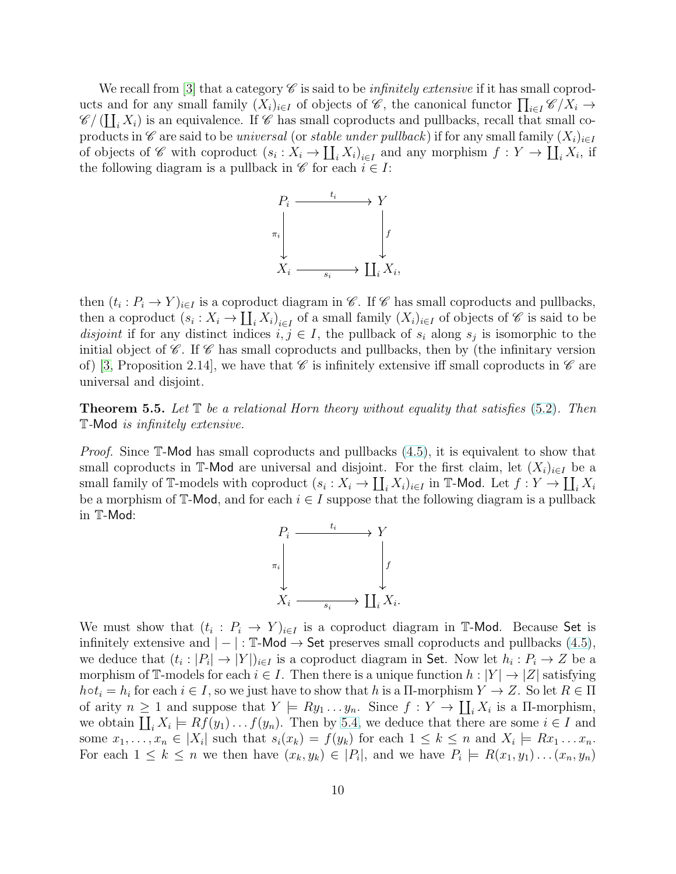We recall from [\[3\]](#page-13-0) that a category  $\mathscr C$  is said to be *infinitely extensive* if it has small coproducts and for any small family  $(X_i)_{i\in I}$  of objects of  $\mathscr{C}$ , the canonical functor  $\prod_{i\in I} \mathscr{C}/X_i \to$  $\mathscr{C}/(\coprod_i X_i)$  is an equivalence. If  $\mathscr{C}$  has small coproducts and pullbacks, recall that small coproducts in C are said to be universal (or stable under pullback) if for any small family  $(X_i)_{i\in I}$ of objects of C with coproduct  $(s_i : X_i \to \coprod_i X_i)_{i \in I}$  and any morphism  $f : Y \to \coprod_i X_i$ , if the following diagram is a pullback in  $\mathscr C$  for each  $i \in I$ :



then  $(t_i : P_i \to Y)_{i \in I}$  is a coproduct diagram in  $\mathscr{C}$ . If  $\mathscr{C}$  has small coproducts and pullbacks, then a coproduct  $(s_i: X_i \to \coprod_i X_i)_{i \in I}$  of a small family  $(X_i)_{i \in I}$  of objects of  $\mathscr C$  is said to be disjoint if for any distinct indices  $i, j \in I$ , the pullback of  $s_i$  along  $s_j$  is isomorphic to the initial object of  $\mathscr{C}$ . If  $\mathscr{C}$  has small coproducts and pullbacks, then by (the infinitary version of) [\[3,](#page-13-0) Proposition 2.14], we have that  $\mathscr C$  is infinitely extensive iff small coproducts in  $\mathscr C$  are universal and disjoint.

<span id="page-9-0"></span>**Theorem 5.5.** Let  $\mathbb{T}$  be a relational Horn theory without equality that satisfies [\(5.2\)](#page-8-0). Then T-Mod is infinitely extensive.

Proof. Since T-Mod has small coproducts and pullbacks  $(4.5)$ , it is equivalent to show that small coproducts in T-Mod are universal and disjoint. For the first claim, let  $(X_i)_{i\in I}$  be a small family of T-models with coproduct  $(s_i: X_i \to \coprod_i X_i)_{i \in I}$  in T-Mod. Let  $f: Y \to \coprod_i X_i$ be a morphism of  $\mathbb{T}$ -Mod, and for each  $i \in I$  suppose that the following diagram is a pullback in T-Mod:



We must show that  $(t_i : P_i \to Y)_{i \in I}$  is a coproduct diagram in T-Mod. Because Set is infinitely extensive and  $|-|: \mathbb{T}$ -Mod  $\rightarrow$  Set preserves small coproducts and pullbacks  $(4.5)$ , we deduce that  $(t_i : |P_i| \to |Y|)_{i \in I}$  is a coproduct diagram in Set. Now let  $h_i : P_i \to Z$  be a morphism of T-models for each  $i \in I$ . Then there is a unique function  $h : |Y| \to |Z|$  satisfying  $h \circ t_i = h_i$  for each  $i \in I$ , so we just have to show that h is a  $\Pi$ -morphism  $Y \to Z$ . So let  $R \in \Pi$ of arity  $n \geq 1$  and suppose that  $Y \models Ry_1 \dots y_n$ . Since  $f: Y \to \coprod_i X_i$  is a  $\Pi$ -morphism, we obtain  $\coprod_i X_i \models Rf(y_1)\dots f(y_n)$ . Then by [5.4,](#page-8-1) we deduce that there are some  $i \in I$  and some  $x_1, \ldots, x_n \in |X_i|$  such that  $s_i(x_k) = f(y_k)$  for each  $1 \leq k \leq n$  and  $X_i \models Rx_1 \ldots x_n$ . For each  $1 \leq k \leq n$  we then have  $(x_k, y_k) \in |P_i|$ , and we have  $P_i \models R(x_1, y_1) \dots (x_n, y_n)$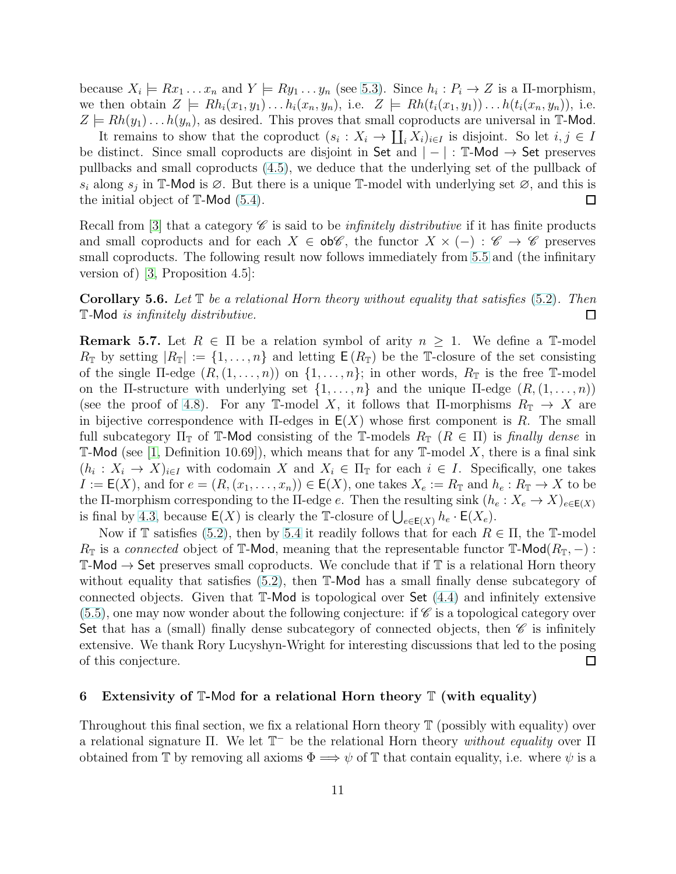because  $X_i \models Rx_1 \dots x_n$  and  $Y \models Ry_1 \dots y_n$  (see [5.3\)](#page-8-2). Since  $h_i : P_i \rightarrow Z$  is a  $\Pi$ -morphism, we then obtain  $Z \models Rh_i(x_1, y_1) \dots h_i(x_n, y_n)$ , i.e.  $Z \models Rh(t_i(x_1, y_1)) \dots h(t_i(x_n, y_n))$ , i.e.  $Z \models Rh(y_1) \dots h(y_n)$ , as desired. This proves that small coproducts are universal in T-Mod.

It remains to show that the coproduct  $(s_i: X_i \to \coprod_i X_i)_{i \in I}$  is disjoint. So let  $i, j \in I$ be distinct. Since small coproducts are disjoint in Set and  $|-|: \mathbb{T}$ -Mod  $\rightarrow$  Set preserves pullbacks and small coproducts [\(4.5\)](#page-6-0), we deduce that the underlying set of the pullback of  $s_i$  along  $s_j$  in T-Mod is  $\emptyset$ . But there is a unique T-model with underlying set  $\emptyset$ , and this is the initial object of T-Mod [\(5.4\)](#page-8-1). □

Recall from [\[3\]](#page-13-0) that a category  $\mathscr C$  is said to be *infinitely distributive* if it has finite products and small coproducts and for each  $X \in ob\mathscr{C}$ , the functor  $X \times (-): \mathscr{C} \to \mathscr{C}$  preserves small coproducts. The following result now follows immediately from [5.5](#page-9-0) and (the infinitary version of) [\[3,](#page-13-0) Proposition 4.5]:

<span id="page-10-2"></span>**Corollary 5.6.** Let  $\mathbb{T}$  be a relational Horn theory without equality that satisfies [\(5.2\)](#page-8-0). Then T-Mod is infinitely distributive. □

<span id="page-10-1"></span>**Remark 5.7.** Let  $R \in \Pi$  be a relation symbol of arity  $n \geq 1$ . We define a T-model  $R_{\mathbb{T}}$  by setting  $|R_{\mathbb{T}}| := \{1, \ldots, n\}$  and letting  $\mathsf{E}(R_{\mathbb{T}})$  be the T-closure of the set consisting of the single  $\Pi$ -edge  $(R,(1,\ldots,n))$  on  $\{1,\ldots,n\}$ ; in other words,  $R_{\mathbb{T}}$  is the free  $\mathbb{T}$ -model on the Π-structure with underlying set  $\{1,\ldots,n\}$  and the unique  $\Pi$ -edge  $(R,(1,\ldots,n))$ (see the proof of [4.8\)](#page-7-2). For any T-model X, it follows that  $\Pi$ -morphisms  $R_{\mathbb{T}} \to X$  are in bijective correspondence with  $\Pi$ -edges in  $E(X)$  whose first component is R. The small full subcategory  $\Pi_{\mathbb{T}}$  of T-Mod consisting of the T-models  $R_{\mathbb{T}}$  ( $R \in \Pi$ ) is finally dense in **T-Mod** (see [\[1,](#page-12-0) Definition 10.69]), which means that for any **T**-model X, there is a final sink  $(h_i: X_i \to X)_{i \in I}$  with codomain X and  $X_i \in \Pi_{\mathbb{T}}$  for each  $i \in I$ . Specifically, one takes  $I := \mathsf{E}(X)$ , and for  $e = (R, (x_1, \ldots, x_n)) \in \mathsf{E}(X)$ , one takes  $X_e := R_{\mathbb{T}}$  and  $h_e : R_{\mathbb{T}} \to X$  to be the Π-morphism corresponding to the Π-edge e. Then the resulting sink  $(h_e: X_e \to X)_{e \in E(X)}$ is final by [4.3,](#page-5-2) because  $\mathsf{E}(X)$  is clearly the T-closure of  $\bigcup_{e \in \mathsf{E}(X)} h_e \cdot \mathsf{E}(X_e)$ .

Now if T satisfies [\(5.2\)](#page-8-0), then by [5.4](#page-8-1) it readily follows that for each  $R \in \Pi$ , the T-model  $R_{\mathbb{T}}$  is a connected object of T-Mod, meaning that the representable functor T-Mod $(R_{\mathbb{T}},-)$ :  $\mathbb{T}\text{-}\mathsf{Mod}\to \mathsf{Set}$  preserves small coproducts. We conclude that if  $\mathbb{T}$  is a relational Horn theory without equality that satisfies [\(5.2\)](#page-8-0), then T-Mod has a small finally dense subcategory of connected objects. Given that T-Mod is topological over Set [\(4.4\)](#page-6-1) and infinitely extensive  $(5.5)$ , one may now wonder about the following conjecture: if  $\mathscr C$  is a topological category over Set that has a (small) finally dense subcategory of connected objects, then  $\mathscr C$  is infinitely extensive. We thank Rory Lucyshyn-Wright for interesting discussions that led to the posing of this conjecture. □

## <span id="page-10-0"></span>6 Extensivity of  $\mathbb{T}$ -Mod for a relational Horn theory  $\mathbb{T}$  (with equality)

Throughout this final section, we fix a relational Horn theory T (possibly with equality) over a relational signature  $\Pi$ . We let  $\mathbb{T}^-$  be the relational Horn theory without equality over  $\Pi$ obtained from T by removing all axioms  $\Phi \Longrightarrow \psi$  of T that contain equality, i.e. where  $\psi$  is a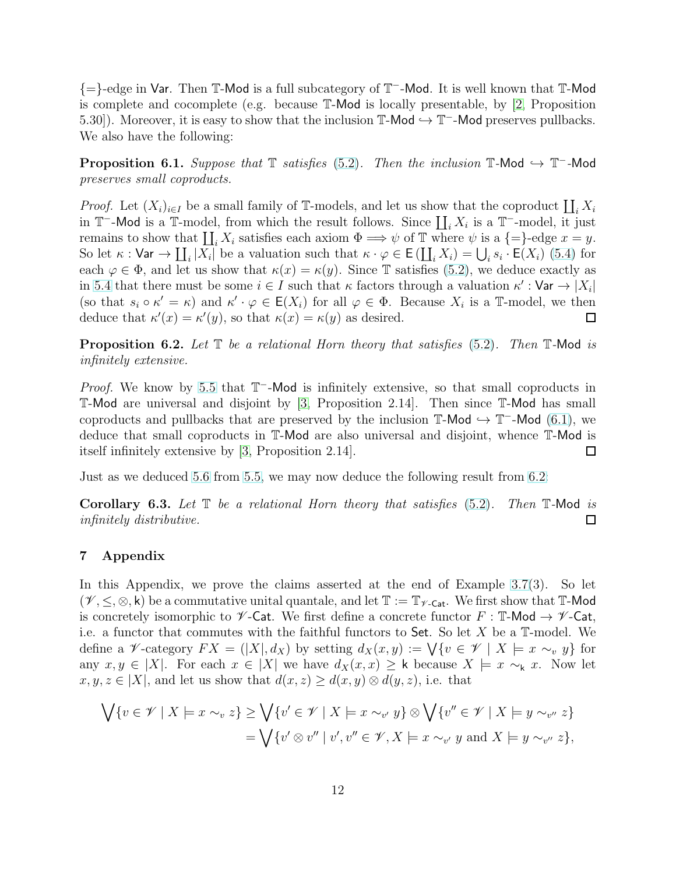{=}-edge in Var. Then T-Mod is a full subcategory of T <sup>−</sup>-Mod. It is well known that T-Mod is complete and cocomplete (e.g. because  $\mathbb{T}\text{-Mod}$  is locally presentable, by [\[2,](#page-13-4) Proposition 5.30]). Moreover, it is easy to show that the inclusion  $\mathbb{T}\text{-}\mathsf{Mod} \hookrightarrow \mathbb{T}$ -Mod preserves pullbacks. We also have the following:

<span id="page-11-1"></span>**Proposition 6.1.** Suppose that  $\mathbb{T}$  satisfies [\(5.2\)](#page-8-0). Then the inclusion  $\mathbb{T}$ -Mod  $\hookrightarrow$   $\mathbb{T}$ -Mod preserves small coproducts.

*Proof.* Let  $(X_i)_{i\in I}$  be a small family of T-models, and let us show that the coproduct  $\coprod_i X_i$ in  $\mathbb{T}$ -Mod is a  $\mathbb{T}$ -model, from which the result follows. Since  $\coprod_i X_i$  is a  $\mathbb{T}$ -model, it just remains to show that  $\coprod_i X_i$  satisfies each axiom  $\Phi \Longrightarrow \psi$  of T where  $\psi$  is a {=}-edge  $x = y$ . So let  $\kappa: \mathsf{Var} \to \coprod_i |X_i|$  be a valuation such that  $\kappa \cdot \varphi \in \mathsf{E} \left( \coprod_i X_i \right) = \bigcup_i s_i \cdot \mathsf{E}(X_i)$  [\(5.4\)](#page-8-1) for each  $\varphi \in \Phi$ , and let us show that  $\kappa(x) = \kappa(y)$ . Since T satisfies [\(5.2\)](#page-8-0), we deduce exactly as in [5.4](#page-8-1) that there must be some  $i \in I$  such that  $\kappa$  factors through a valuation  $\kappa' : \text{Var} \to |X_i|$ (so that  $s_i \circ \kappa' = \kappa$ ) and  $\kappa' \cdot \varphi \in \mathsf{E}(X_i)$  for all  $\varphi \in \Phi$ . Because  $X_i$  is a T-model, we then deduce that  $\kappa'(x) = \kappa'(y)$ , so that  $\kappa(x) = \kappa(y)$  as desired.  $\Box$ 

<span id="page-11-2"></span>**Proposition 6.2.** Let  $\mathbb T$  be a relational Horn theory that satisfies [\(5.2\)](#page-8-0). Then  $\mathbb T$ -Mod is infinitely extensive.

*Proof.* We know by [5.5](#page-9-0) that  $T^-$ -Mod is infinitely extensive, so that small coproducts in T-Mod are universal and disjoint by [\[3,](#page-13-0) Proposition 2.14]. Then since T-Mod has small coproducts and pullbacks that are preserved by the inclusion  $\mathbb{T}$ -Mod  $\hookrightarrow$   $\mathbb{T}$ -Mod  $(6.1)$ , we deduce that small coproducts in T-Mod are also universal and disjoint, whence T-Mod is itself infinitely extensive by [\[3,](#page-13-0) Proposition 2.14].  $\Box$ 

Just as we deduced [5.6](#page-10-2) from [5.5,](#page-9-0) we may now deduce the following result from [6.2:](#page-11-2)

<span id="page-11-0"></span>**Corollary 6.3.** Let  $\mathbb T$  be a relational Horn theory that satisfies [\(5.2\)](#page-8-0). Then  $\mathbb T$ -Mod is infinitely distributive. □

# 7 Appendix

In this Appendix, we prove the claims asserted at the end of Example [3.7\(](#page-3-0)3). So let  $(\mathscr{V}, \leq, \otimes, \mathsf{k})$  be a commutative unital quantale, and let  $\mathbb{T} := \mathbb{T}_{\mathscr{V} \text{-}\mathsf{Cat}}$ . We first show that  $\mathbb{T}\text{-}\mathsf{Mod}$ is concretely isomorphic to  $\mathscr V$ -Cat. We first define a concrete functor  $F : \mathbb T$ -Mod  $\to \mathscr V$ -Cat, i.e. a functor that commutes with the faithful functors to Set. So let  $X$  be a  $\mathbb{T}$ -model. We define a *V*-category  $FX = (|X|, d_X)$  by setting  $d_X(x, y) := \bigvee \{v \in \mathscr{V} \mid X \models x \sim_v y\}$  for any  $x, y \in |X|$ . For each  $x \in |X|$  we have  $d_X(x, x) \geq k$  because  $X \models x \sim_k x$ . Now let  $x, y, z \in |X|$ , and let us show that  $d(x, z) \geq d(x, y) \otimes d(y, z)$ , i.e. that

$$
\bigvee \{v \in \mathscr{V} \mid X \models x \sim_v z\} \ge \bigvee \{v' \in \mathscr{V} \mid X \models x \sim_{v'} y\} \otimes \bigvee \{v'' \in \mathscr{V} \mid X \models y \sim_{v''} z\}
$$

$$
= \bigvee \{v' \otimes v'' \mid v', v'' \in \mathscr{V}, X \models x \sim_{v'} y \text{ and } X \models y \sim_{v''} z\},
$$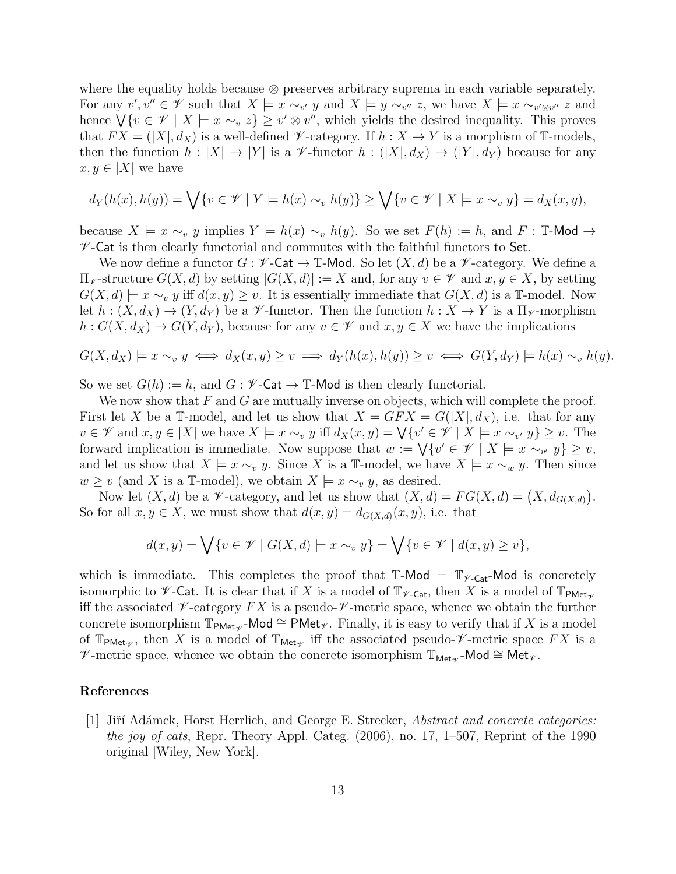where the equality holds because ⊗ preserves arbitrary suprema in each variable separately. For any  $v', v'' \in \mathscr{V}$  such that  $X \models x \sim_{v'} y$  and  $X \models y \sim_{v''} z$ , we have  $X \models x \sim_{v' \otimes v''} z$  and hence  $\bigvee \{v \in \mathscr{V} \mid X \models x \sim_v z\} \geq v' \otimes v''$ , which yields the desired inequality. This proves that  $FX = (|X|, d_X)$  is a well-defined  $\mathscr V$ -category. If  $h: X \to Y$  is a morphism of T-models, then the function  $h: |X| \to |Y|$  is a V-functor  $h: (|X|, d_X) \to (|Y|, d_Y)$  because for any  $x, y \in |X|$  we have

$$
d_Y(h(x), h(y)) = \bigvee \{v \in \mathscr{V} \mid Y \models h(x) \sim_v h(y)\} \ge \bigvee \{v \in \mathscr{V} \mid X \models x \sim_v y\} = d_X(x, y),
$$

because  $X \models x \sim_v y$  implies  $Y \models h(x) \sim_v h(y)$ . So we set  $F(h) := h$ , and  $F : \mathbb{T}$ -Mod  $\rightarrow$  $\mathscr V$ -Cat is then clearly functorial and commutes with the faithful functors to Set.

We now define a functor  $G: \mathscr{V}\text{-}\mathsf{Cat} \to \mathbb{T}\text{-}\mathsf{Mod}$ . So let  $(X,d)$  be a  $\mathscr{V}\text{-}\mathrm{category}$ . We define a  $\Pi_{\mathscr{V}}$ -structure  $G(X, d)$  by setting  $|G(X, d)| := X$  and, for any  $v \in \mathscr{V}$  and  $x, y \in X$ , by setting  $G(X, d) \models x \sim_v y$  iff  $d(x, y) \geq v$ . It is essentially immediate that  $G(X, d)$  is a T-model. Now let  $h: (X, d_X) \to (Y, d_Y)$  be a  $\mathscr V$ -functor. Then the function  $h: X \to Y$  is a  $\Pi_{\mathscr V}$ -morphism  $h: G(X, d_X) \to G(Y, d_Y)$ , because for any  $v \in \mathscr{V}$  and  $x, y \in X$  we have the implications

$$
G(X, d_X) \models x \sim_v y \iff d_X(x, y) \ge v \implies d_Y(h(x), h(y)) \ge v \iff G(Y, d_Y) \models h(x) \sim_v h(y).
$$

So we set  $G(h) := h$ , and  $G : \mathscr{V}\text{-}\mathsf{Cat} \to \mathbb{T}\text{-}\mathsf{Mod}$  is then clearly functorial.

We now show that  $F$  and  $G$  are mutually inverse on objects, which will complete the proof. First let X be a T-model, and let us show that  $X = GFX = G(|X|, d_X)$ , i.e. that for any  $v \in \mathscr{V}$  and  $x, y \in |X|$  we have  $X \models x \sim_v y$  iff  $d_X(x, y) = \bigvee \{v' \in \mathscr{V} \mid X \models x \sim_{v'} y\} \geq v$ . The forward implication is immediate. Now suppose that  $w := \bigvee \{v' \in \mathscr{V} \mid X \models x \sim_{v'} y\} \geq v$ , and let us show that  $X \models x \sim_v y$ . Since X is a T-model, we have  $X \models x \sim_w y$ . Then since  $w \geq v$  (and X is a T-model), we obtain  $X \models x \sim_v y$ , as desired.

Now let  $(X, d)$  be a *V*-category, and let us show that  $(X, d) = FG(X, d) = (X, d_{G(X,d)})$ . So for all  $x, y \in X$ , we must show that  $d(x, y) = d_{G(X,d)}(x, y)$ , i.e. that

$$
d(x,y) = \bigvee \{v \in \mathscr{V} \mid G(X,d) \models x \sim_v y\} = \bigvee \{v \in \mathscr{V} \mid d(x,y) \ge v\},\
$$

which is immediate. This completes the proof that  $\mathbb{T}\text{-Mod} = \mathbb{T}_{\mathscr{V}\text{-}\mathsf{Cat}}\text{-Mod}$  is concretely isomorphic to  $\not\!\mathscr{V}$ -Cat. It is clear that if X is a model of  $\mathbb{T}_{\nu\text{-Cat}}$ , then X is a model of  $\mathbb{T}_{\text{PMet}_{\nu}}$ iff the associated  $\mathscr V$ -category  $FX$  is a pseudo- $\mathscr V$ -metric space, whence we obtain the further concrete isomorphism  $\mathbb{T}_{\text{PMet}_{\mathscr{V}}}$ -Mod  $\cong \text{PMet}_{\mathscr{V}}$ . Finally, it is easy to verify that if X is a model of  $\mathbb{T}_{\text{PMet}_{\mathscr{V}}}$ , then X is a model of  $\mathbb{T}_{\text{Met}_{\mathscr{V}}}$  iff the associated pseudo- $\mathscr{V}$ -metric space  $FX$  is a  $\mathscr{V}\text{-}\mathrm{metric}$  space, whence we obtain the concrete isomorphism  $\mathbb{T}_{\mathsf{Met}_{\mathscr{V}}}$ -Mod  $\cong \mathsf{Met}_{\mathscr{V}}$ .

# <span id="page-12-0"></span>References

[1] Jiří Adámek, Horst Herrlich, and George E. Strecker, *Abstract and concrete categories:* the joy of cats, Repr. Theory Appl. Categ. (2006), no. 17, 1–507, Reprint of the 1990 original [Wiley, New York].